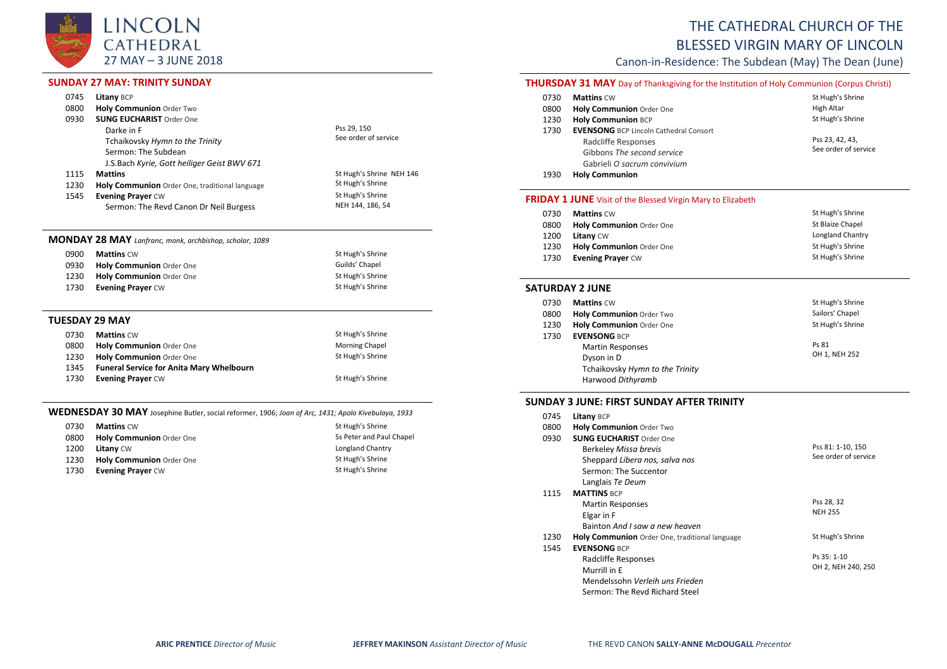

# **SUNDAY 27 MAY: TRINITY SUNDAY**

| 0745 | <b>Litany BCP</b>                              |                          |
|------|------------------------------------------------|--------------------------|
| 0800 | <b>Holy Communion Order Two</b>                |                          |
| 0930 | <b>SUNG EUCHARIST Order One</b>                |                          |
|      | Darke in F                                     | Pss 29, 150              |
|      | Tchaikovsky Hymn to the Trinity                | See order of service     |
|      | Sermon: The Subdean                            |                          |
|      | J.S.Bach Kyrie, Gott heiliger Geist BWV 671    |                          |
| 1115 | <b>Mattins</b>                                 | St Hugh's Shrine NEH 146 |
| 1230 | Holy Communion Order One, traditional language | St Hugh's Shrine         |
| 1545 | <b>Evening Prayer CW</b>                       | St Hugh's Shrine         |
|      | Sermon: The Revd Canon Dr Neil Burgess         | NEH 144, 186, 54         |

#### **MONDAY 28 MAY** *Lanfranc, monk, archbishop, scholar, 1089*

| 0900 | <b>Mattins CW</b>               | St Hugh's Shrine |
|------|---------------------------------|------------------|
| 0930 | <b>Holy Communion Order One</b> | Guilds' Chapel   |
| 1230 | <b>Holy Communion Order One</b> | St Hugh's Shrine |
| 1730 | <b>Evening Prayer CW</b>        | St Hugh's Shrine |

#### **TUESDAY 29 MAY**

| 0730 | <b>Mattins CW</b>                               | St Hugh's Shrine      |
|------|-------------------------------------------------|-----------------------|
| 0800 | Holy Communion Order One                        | <b>Morning Chapel</b> |
| 1230 | <b>Holy Communion Order One</b>                 | St Hugh's Shrine      |
| 1345 | <b>Funeral Service for Anita Mary Whelbourn</b> |                       |
| 1730 | <b>Evening Prayer CW</b>                        | St Hugh's Shrine      |

#### **WEDNESDAY 30 MAY** Josephine Butler, social reformer, 1906; *Joan of Arc, 1431; Apolo Kivebulaya, 1933*

| 0730 | <b>Mattins CW</b>        | St Hugh's Shrine         |
|------|--------------------------|--------------------------|
| 0800 | Holy Communion Order One | Ss Peter and Paul Chapel |
| 1200 | <b>Litany</b> CW         | Longland Chantry         |
| 1230 | Holy Communion Order One | St Hugh's Shrine         |
| 1730 | <b>Evening Prayer CW</b> | St Hugh's Shrine         |

# THE CATHEDRAL CHURCH OF THE BLESSED VIRGIN MARY OF LINCOLN

Canon-in-Residence: The Subdean (May) The Dean (June)

## **THURSDAY 31 MAY** Day of Thanksgiving for the Institution of Holy Communion (Corpus Christi)

| 0730 | <b>Mattins CW</b>                             | St Hugh's Shrine     |
|------|-----------------------------------------------|----------------------|
| 0800 | <b>Holy Communion</b> Order One               | <b>High Altar</b>    |
| 1230 | <b>Holy Communion BCP</b>                     | St Hugh's Shrine     |
| 1730 | <b>EVENSONG BCP Lincoln Cathedral Consort</b> |                      |
|      | Radcliffe Responses                           | Pss 23, 42, 43,      |
|      | Gibbons The second service                    | See order of service |
|      | Gabrieli O sacrum convivium                   |                      |
| 1930 | <b>Holy Communion</b>                         |                      |

#### **FRIDAY 1 JUNE** Visit of the Blessed Virgin Mary to Elizabeth

| 0730 | <b>Mattins CW</b>               | St Hugh's Shrine |
|------|---------------------------------|------------------|
| 0800 | <b>Holy Communion Order One</b> | St Blaize Chapel |
| 1200 | <b>Litany CW</b>                | Longland Chantry |
| 1230 | Holy Communion Order One        | St Hugh's Shrine |
| 1730 | <b>Evening Prayer CW</b>        | St Hugh's Shrine |

#### **SATURDAY 2 JUNE**

| 0730 | <b>Mattins CW</b>               | St Hugh's Shrine |
|------|---------------------------------|------------------|
| 0800 | Holy Communion Order Two        | Sailors' Chapel  |
| 1230 | Holy Communion Order One        | St Hugh's Shrine |
| 1730 | <b>EVENSONG BCP</b>             |                  |
|      | <b>Martin Responses</b>         | Ps 81            |
|      | Dyson in D                      | OH 1, NEH 252    |
|      | Tchaikovsky Hymn to the Trinity |                  |
|      | Harwood Dithyramb               |                  |

#### **SUNDAY 3 JUNE: FIRST SUNDAY AFTER TRINITY**

| 0745 | Litany BCP                                     |                      |
|------|------------------------------------------------|----------------------|
| 0800 | Holy Communion Order Two                       |                      |
| 0930 | <b>SUNG EUCHARIST Order One</b>                |                      |
|      | Berkeley Missa brevis                          | Pss 81: 1-10, 150    |
|      | Sheppard Libera nos, salva nos                 | See order of service |
|      | Sermon: The Succentor                          |                      |
|      | Langlais Te Deum                               |                      |
| 1115 | <b>MATTINS BCP</b>                             |                      |
|      | <b>Martin Responses</b>                        | Pss 28, 32           |
|      | Elgar in F                                     | <b>NEH 255</b>       |
|      | Bainton And I saw a new heaven                 |                      |
| 1230 | Holy Communion Order One, traditional language | St Hugh's Shrine     |
| 1545 | <b>EVENSONG BCP</b>                            |                      |
|      | Radcliffe Responses                            | Ps 35: 1-10          |
|      | Murrill in E                                   | OH 2, NEH 240, 250   |
|      | Mendelssohn Verleih uns Frieden                |                      |
|      | Sermon: The Revd Richard Steel                 |                      |